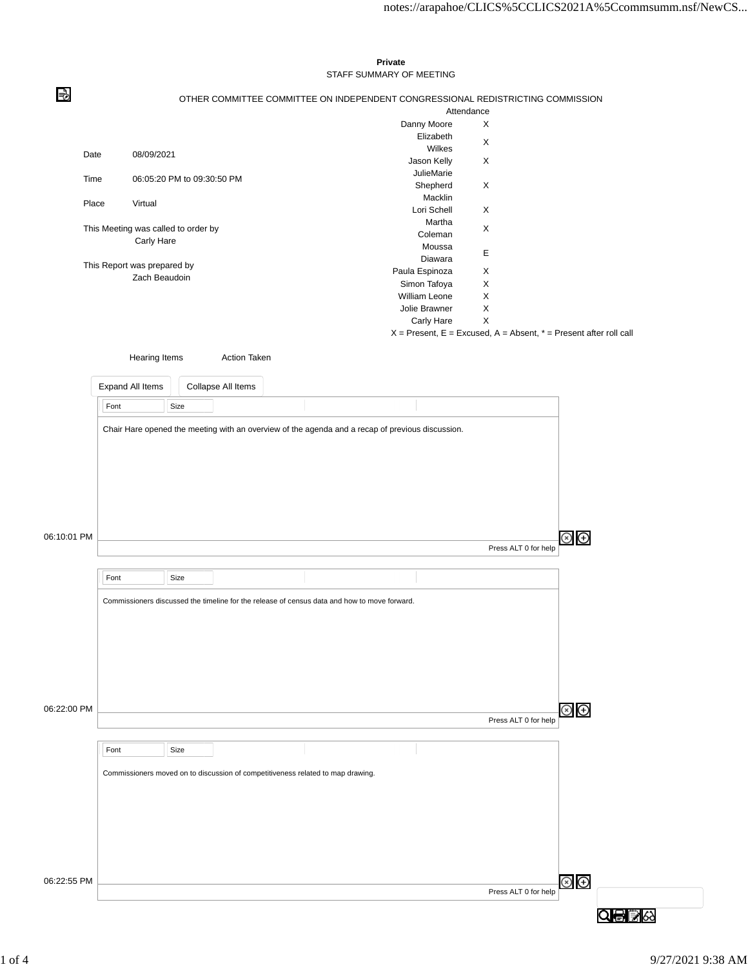|             |                                     |                                                                                 |               |                                                                                              |  |  |  | Private                                                                                          |            |   |                      |                         |     |    |  |
|-------------|-------------------------------------|---------------------------------------------------------------------------------|---------------|----------------------------------------------------------------------------------------------|--|--|--|--------------------------------------------------------------------------------------------------|------------|---|----------------------|-------------------------|-----|----|--|
|             |                                     |                                                                                 |               |                                                                                              |  |  |  | STAFF SUMMARY OF MEETING                                                                         |            |   |                      |                         |     |    |  |
| ا∉⊨         |                                     | OTHER COMMITTEE COMMITTEE ON INDEPENDENT CONGRESSIONAL REDISTRICTING COMMISSION |               |                                                                                              |  |  |  |                                                                                                  |            |   |                      |                         |     |    |  |
|             |                                     |                                                                                 |               |                                                                                              |  |  |  |                                                                                                  | Attendance |   |                      |                         |     |    |  |
|             |                                     |                                                                                 |               |                                                                                              |  |  |  | Danny Moore                                                                                      |            | X |                      |                         |     |    |  |
|             |                                     |                                                                                 |               |                                                                                              |  |  |  | Elizabeth                                                                                        |            | X |                      |                         |     |    |  |
|             | Date<br>08/09/2021                  |                                                                                 |               |                                                                                              |  |  |  | Wilkes                                                                                           |            |   |                      |                         |     |    |  |
|             |                                     |                                                                                 |               |                                                                                              |  |  |  | Jason Kelly                                                                                      |            | X |                      |                         |     |    |  |
|             | Time                                | 06:05:20 PM to 09:30:50 PM                                                      |               |                                                                                              |  |  |  |                                                                                                  | JulieMarie |   |                      |                         |     |    |  |
|             |                                     |                                                                                 |               |                                                                                              |  |  |  | Shepherd                                                                                         |            | X |                      |                         |     |    |  |
|             | Place<br>Virtual                    |                                                                                 |               |                                                                                              |  |  |  | Macklin<br>Lori Schell                                                                           |            |   |                      |                         |     |    |  |
|             |                                     |                                                                                 |               |                                                                                              |  |  |  |                                                                                                  |            | X |                      |                         |     |    |  |
|             | This Meeting was called to order by |                                                                                 |               |                                                                                              |  |  |  | Martha                                                                                           |            | X |                      |                         |     |    |  |
|             |                                     | Carly Hare                                                                      |               |                                                                                              |  |  |  | Coleman                                                                                          |            |   |                      |                         |     |    |  |
|             |                                     |                                                                                 |               |                                                                                              |  |  |  | Moussa<br>Diawara                                                                                |            | E |                      |                         |     |    |  |
|             | This Report was prepared by         |                                                                                 |               |                                                                                              |  |  |  | Paula Espinoza                                                                                   |            | X |                      |                         |     |    |  |
|             |                                     |                                                                                 | Zach Beaudoin |                                                                                              |  |  |  | Simon Tafoya                                                                                     |            | X |                      |                         |     |    |  |
|             |                                     |                                                                                 |               |                                                                                              |  |  |  | William Leone                                                                                    |            | X |                      |                         |     |    |  |
|             |                                     |                                                                                 |               |                                                                                              |  |  |  | Jolie Brawner                                                                                    |            | X |                      |                         |     |    |  |
|             |                                     |                                                                                 |               |                                                                                              |  |  |  | Carly Hare                                                                                       |            | X |                      |                         |     |    |  |
|             |                                     |                                                                                 |               |                                                                                              |  |  |  | $X =$ Present, E = Excused, A = Absent, $* =$ Present after roll call                            |            |   |                      |                         |     |    |  |
|             |                                     |                                                                                 |               |                                                                                              |  |  |  |                                                                                                  |            |   |                      |                         |     |    |  |
|             |                                     | Hearing Items                                                                   |               | <b>Action Taken</b>                                                                          |  |  |  |                                                                                                  |            |   |                      |                         |     |    |  |
|             |                                     |                                                                                 |               |                                                                                              |  |  |  |                                                                                                  |            |   |                      |                         |     |    |  |
|             | Expand All Items                    |                                                                                 |               | Collapse All Items                                                                           |  |  |  |                                                                                                  |            |   |                      |                         |     |    |  |
|             |                                     |                                                                                 |               |                                                                                              |  |  |  |                                                                                                  |            |   |                      |                         |     |    |  |
|             | Font                                |                                                                                 | Size          |                                                                                              |  |  |  |                                                                                                  |            |   |                      |                         |     |    |  |
|             |                                     |                                                                                 |               |                                                                                              |  |  |  |                                                                                                  |            |   |                      |                         |     |    |  |
|             |                                     |                                                                                 |               |                                                                                              |  |  |  | Chair Hare opened the meeting with an overview of the agenda and a recap of previous discussion. |            |   |                      |                         |     |    |  |
|             |                                     |                                                                                 |               |                                                                                              |  |  |  |                                                                                                  |            |   |                      |                         |     |    |  |
|             |                                     |                                                                                 |               |                                                                                              |  |  |  |                                                                                                  |            |   |                      |                         |     |    |  |
|             |                                     |                                                                                 |               |                                                                                              |  |  |  |                                                                                                  |            |   |                      |                         |     |    |  |
|             |                                     |                                                                                 |               |                                                                                              |  |  |  |                                                                                                  |            |   |                      |                         |     |    |  |
|             |                                     |                                                                                 |               |                                                                                              |  |  |  |                                                                                                  |            |   |                      |                         |     |    |  |
|             |                                     |                                                                                 |               |                                                                                              |  |  |  |                                                                                                  |            |   |                      |                         |     |    |  |
|             |                                     |                                                                                 |               |                                                                                              |  |  |  |                                                                                                  |            |   |                      |                         |     |    |  |
|             |                                     |                                                                                 |               |                                                                                              |  |  |  |                                                                                                  |            |   |                      |                         |     |    |  |
| 06:10:01 PM |                                     |                                                                                 |               |                                                                                              |  |  |  |                                                                                                  |            |   |                      | $\circledcirc$ $\oplus$ |     |    |  |
|             |                                     |                                                                                 |               |                                                                                              |  |  |  |                                                                                                  |            |   | Press ALT 0 for help |                         |     |    |  |
|             |                                     |                                                                                 |               |                                                                                              |  |  |  |                                                                                                  |            |   |                      |                         |     |    |  |
|             | Font                                |                                                                                 | Size          |                                                                                              |  |  |  |                                                                                                  |            |   |                      |                         |     |    |  |
|             |                                     |                                                                                 |               |                                                                                              |  |  |  |                                                                                                  |            |   |                      |                         |     |    |  |
|             |                                     |                                                                                 |               | Commissioners discussed the timeline for the release of census data and how to move forward. |  |  |  |                                                                                                  |            |   |                      |                         |     |    |  |
|             |                                     |                                                                                 |               |                                                                                              |  |  |  |                                                                                                  |            |   |                      |                         |     |    |  |
|             |                                     |                                                                                 |               |                                                                                              |  |  |  |                                                                                                  |            |   |                      |                         |     |    |  |
|             |                                     |                                                                                 |               |                                                                                              |  |  |  |                                                                                                  |            |   |                      |                         |     |    |  |
|             |                                     |                                                                                 |               |                                                                                              |  |  |  |                                                                                                  |            |   |                      |                         |     |    |  |
|             |                                     |                                                                                 |               |                                                                                              |  |  |  |                                                                                                  |            |   |                      |                         |     |    |  |
|             |                                     |                                                                                 |               |                                                                                              |  |  |  |                                                                                                  |            |   |                      |                         |     |    |  |
|             |                                     |                                                                                 |               |                                                                                              |  |  |  |                                                                                                  |            |   |                      |                         |     |    |  |
|             |                                     |                                                                                 |               |                                                                                              |  |  |  |                                                                                                  |            |   |                      |                         |     |    |  |
| 06:22:00 PM |                                     |                                                                                 |               |                                                                                              |  |  |  |                                                                                                  |            |   |                      | $\circledcirc$          |     |    |  |
|             |                                     |                                                                                 |               |                                                                                              |  |  |  |                                                                                                  |            |   | Press ALT 0 for help |                         |     |    |  |
|             |                                     |                                                                                 |               |                                                                                              |  |  |  |                                                                                                  |            |   |                      |                         |     |    |  |
|             | Font                                |                                                                                 | Size          |                                                                                              |  |  |  |                                                                                                  |            |   |                      |                         |     |    |  |
|             |                                     |                                                                                 |               |                                                                                              |  |  |  |                                                                                                  |            |   |                      |                         |     |    |  |
|             |                                     |                                                                                 |               | Commissioners moved on to discussion of competitiveness related to map drawing.              |  |  |  |                                                                                                  |            |   |                      |                         |     |    |  |
|             |                                     |                                                                                 |               |                                                                                              |  |  |  |                                                                                                  |            |   |                      |                         |     |    |  |
|             |                                     |                                                                                 |               |                                                                                              |  |  |  |                                                                                                  |            |   |                      |                         |     |    |  |
|             |                                     |                                                                                 |               |                                                                                              |  |  |  |                                                                                                  |            |   |                      |                         |     |    |  |
|             |                                     |                                                                                 |               |                                                                                              |  |  |  |                                                                                                  |            |   |                      |                         |     |    |  |
|             |                                     |                                                                                 |               |                                                                                              |  |  |  |                                                                                                  |            |   |                      |                         |     |    |  |
|             |                                     |                                                                                 |               |                                                                                              |  |  |  |                                                                                                  |            |   |                      |                         |     |    |  |
|             |                                     |                                                                                 |               |                                                                                              |  |  |  |                                                                                                  |            |   |                      |                         |     |    |  |
|             |                                     |                                                                                 |               |                                                                                              |  |  |  |                                                                                                  |            |   |                      |                         |     |    |  |
| 06:22:55 PM |                                     |                                                                                 |               |                                                                                              |  |  |  |                                                                                                  |            |   |                      | $\circledast$           |     |    |  |
|             |                                     |                                                                                 |               |                                                                                              |  |  |  |                                                                                                  |            |   | Press ALT 0 for help |                         | Q⊜B | 63 |  |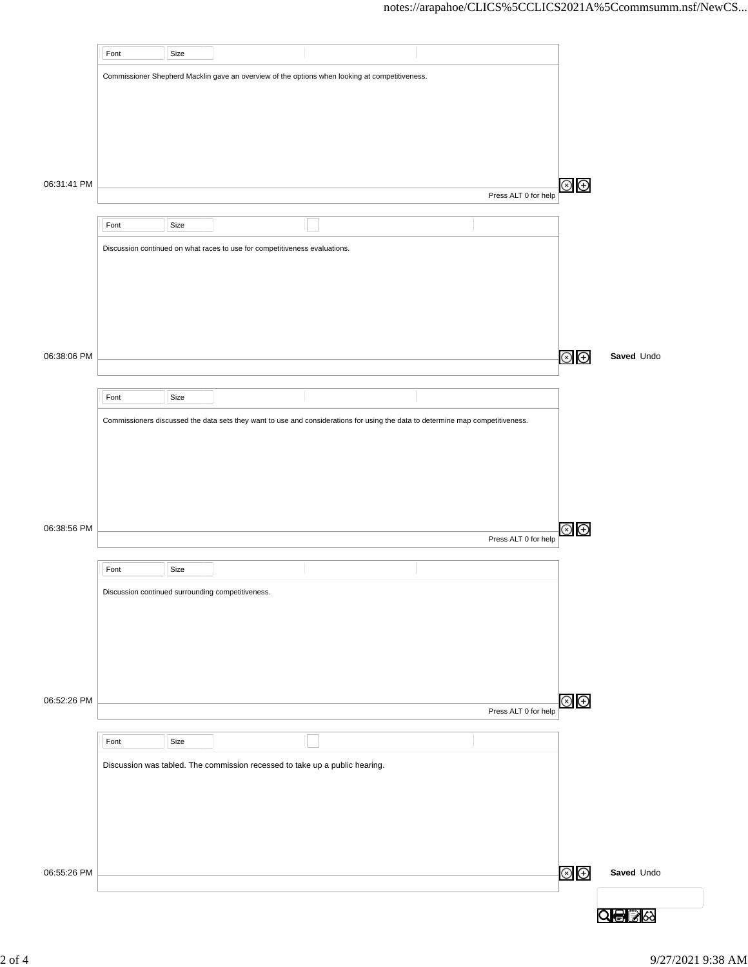|             | Font                                              | Size |                                                                             |                                                                                                                                |                      |                        |            |
|-------------|---------------------------------------------------|------|-----------------------------------------------------------------------------|--------------------------------------------------------------------------------------------------------------------------------|----------------------|------------------------|------------|
|             |                                                   |      |                                                                             | Commissioner Shepherd Macklin gave an overview of the options when looking at competitiveness.                                 |                      |                        |            |
|             |                                                   |      |                                                                             |                                                                                                                                |                      |                        |            |
|             |                                                   |      |                                                                             |                                                                                                                                |                      |                        |            |
|             |                                                   |      |                                                                             |                                                                                                                                |                      |                        |            |
|             |                                                   |      |                                                                             |                                                                                                                                |                      |                        |            |
|             |                                                   |      |                                                                             |                                                                                                                                |                      |                        |            |
| 06:31:41 PM |                                                   |      |                                                                             |                                                                                                                                | Press ALT 0 for help | $\circledast$ $\oplus$ |            |
|             |                                                   |      |                                                                             |                                                                                                                                |                      |                        |            |
|             | Font                                              | Size |                                                                             |                                                                                                                                |                      |                        |            |
|             |                                                   |      | Discussion continued on what races to use for competitiveness evaluations.  |                                                                                                                                |                      |                        |            |
|             |                                                   |      |                                                                             |                                                                                                                                |                      |                        |            |
|             |                                                   |      |                                                                             |                                                                                                                                |                      |                        |            |
|             |                                                   |      |                                                                             |                                                                                                                                |                      |                        |            |
|             |                                                   |      |                                                                             |                                                                                                                                |                      |                        |            |
| 06:38:06 PM |                                                   |      |                                                                             |                                                                                                                                |                      | $\circledcirc$         | Saved Undo |
|             |                                                   |      |                                                                             |                                                                                                                                |                      |                        |            |
|             | Font                                              | Size |                                                                             |                                                                                                                                |                      |                        |            |
|             |                                                   |      |                                                                             | Commissioners discussed the data sets they want to use and considerations for using the data to determine map competitiveness. |                      |                        |            |
|             |                                                   |      |                                                                             |                                                                                                                                |                      |                        |            |
|             |                                                   |      |                                                                             |                                                                                                                                |                      |                        |            |
|             |                                                   |      |                                                                             |                                                                                                                                |                      |                        |            |
|             |                                                   |      |                                                                             |                                                                                                                                |                      |                        |            |
|             |                                                   |      |                                                                             |                                                                                                                                |                      |                        |            |
| 06:38:56 PM |                                                   |      |                                                                             |                                                                                                                                | Press ALT 0 for help | $\circledast$          |            |
|             |                                                   |      |                                                                             |                                                                                                                                |                      |                        |            |
|             | Font                                              | Size |                                                                             |                                                                                                                                |                      |                        |            |
|             | Discussion continued surrounding competitiveness. |      |                                                                             |                                                                                                                                |                      |                        |            |
|             |                                                   |      |                                                                             |                                                                                                                                |                      |                        |            |
|             |                                                   |      |                                                                             |                                                                                                                                |                      |                        |            |
|             |                                                   |      |                                                                             |                                                                                                                                |                      |                        |            |
|             |                                                   |      |                                                                             |                                                                                                                                |                      |                        |            |
| 06:52:26 PM |                                                   |      |                                                                             |                                                                                                                                |                      | $\circledcirc$         |            |
|             |                                                   |      |                                                                             |                                                                                                                                | Press ALT 0 for help |                        |            |
|             | Font                                              | Size |                                                                             |                                                                                                                                |                      |                        |            |
|             |                                                   |      | Discussion was tabled. The commission recessed to take up a public hearing. |                                                                                                                                |                      |                        |            |
|             |                                                   |      |                                                                             |                                                                                                                                |                      |                        |            |
|             |                                                   |      |                                                                             |                                                                                                                                |                      |                        |            |
|             |                                                   |      |                                                                             |                                                                                                                                |                      |                        |            |
|             |                                                   |      |                                                                             |                                                                                                                                |                      |                        |            |
|             |                                                   |      |                                                                             |                                                                                                                                |                      |                        |            |
| 06:55:26 PM |                                                   |      |                                                                             |                                                                                                                                |                      | $\circledcirc$         | Saved Undo |
|             |                                                   |      |                                                                             |                                                                                                                                |                      |                        |            |
|             |                                                   |      |                                                                             |                                                                                                                                |                      |                        | Q骨ぼ☆       |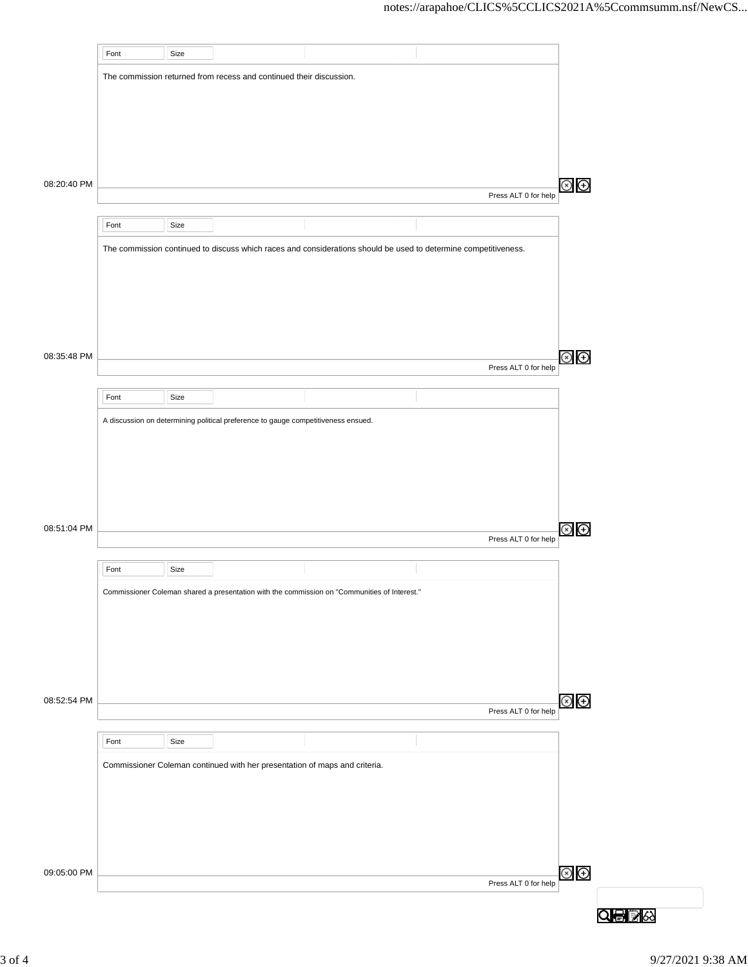|             | Font | Size |                                                                                              |                                                                                                                 |                      |                |
|-------------|------|------|----------------------------------------------------------------------------------------------|-----------------------------------------------------------------------------------------------------------------|----------------------|----------------|
|             |      |      | The commission returned from recess and continued their discussion.                          |                                                                                                                 |                      |                |
|             |      |      |                                                                                              |                                                                                                                 |                      |                |
|             |      |      |                                                                                              |                                                                                                                 |                      |                |
|             |      |      |                                                                                              |                                                                                                                 |                      |                |
|             |      |      |                                                                                              |                                                                                                                 |                      |                |
|             |      |      |                                                                                              |                                                                                                                 |                      |                |
| 08:20:40 PM |      |      |                                                                                              |                                                                                                                 |                      | $\circledast$  |
|             |      |      |                                                                                              |                                                                                                                 | Press ALT 0 for help |                |
|             | Font | Size |                                                                                              |                                                                                                                 |                      |                |
|             |      |      |                                                                                              | The commission continued to discuss which races and considerations should be used to determine competitiveness. |                      |                |
|             |      |      |                                                                                              |                                                                                                                 |                      |                |
|             |      |      |                                                                                              |                                                                                                                 |                      |                |
|             |      |      |                                                                                              |                                                                                                                 |                      |                |
|             |      |      |                                                                                              |                                                                                                                 |                      |                |
|             |      |      |                                                                                              |                                                                                                                 |                      |                |
| 08:35:48 PM |      |      |                                                                                              |                                                                                                                 |                      | ⊗<br>⊕         |
|             |      |      |                                                                                              |                                                                                                                 | Press ALT 0 for help |                |
|             | Font | Size |                                                                                              |                                                                                                                 |                      |                |
|             |      |      | A discussion on determining political preference to gauge competitiveness ensued.            |                                                                                                                 |                      |                |
|             |      |      |                                                                                              |                                                                                                                 |                      |                |
|             |      |      |                                                                                              |                                                                                                                 |                      |                |
|             |      |      |                                                                                              |                                                                                                                 |                      |                |
|             |      |      |                                                                                              |                                                                                                                 |                      |                |
|             |      |      |                                                                                              |                                                                                                                 |                      |                |
| 08:51:04 PM |      |      |                                                                                              |                                                                                                                 |                      | $\bigoplus$    |
|             |      |      |                                                                                              |                                                                                                                 | Press ALT 0 for help |                |
|             | Font | Size |                                                                                              |                                                                                                                 |                      |                |
|             |      |      |                                                                                              |                                                                                                                 |                      |                |
|             |      |      | Commissioner Coleman shared a presentation with the commission on "Communities of Interest." |                                                                                                                 |                      |                |
|             |      |      |                                                                                              |                                                                                                                 |                      |                |
|             |      |      |                                                                                              |                                                                                                                 |                      |                |
|             |      |      |                                                                                              |                                                                                                                 |                      |                |
|             |      |      |                                                                                              |                                                                                                                 |                      |                |
| 08:52:54 PM |      |      |                                                                                              |                                                                                                                 |                      | $\circledcirc$ |
|             |      |      |                                                                                              |                                                                                                                 | Press ALT 0 for help |                |
|             | Font | Size |                                                                                              |                                                                                                                 |                      |                |
|             |      |      |                                                                                              |                                                                                                                 |                      |                |
|             |      |      | Commissioner Coleman continued with her presentation of maps and criteria.                   |                                                                                                                 |                      |                |
|             |      |      |                                                                                              |                                                                                                                 |                      |                |
|             |      |      |                                                                                              |                                                                                                                 |                      |                |
|             |      |      |                                                                                              |                                                                                                                 |                      |                |
|             |      |      |                                                                                              |                                                                                                                 |                      |                |
| 09:05:00 PM |      |      |                                                                                              |                                                                                                                 |                      | $\circledcirc$ |
|             |      |      |                                                                                              |                                                                                                                 | Press ALT 0 for help |                |
|             |      |      |                                                                                              |                                                                                                                 |                      |                |
|             |      |      |                                                                                              |                                                                                                                 |                      | Q⊜B∧           |